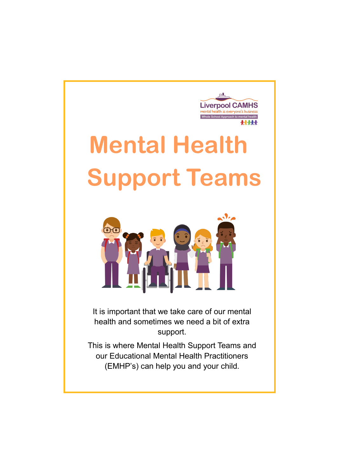

# **Mental Health Support Teams**



It is important that we take care of our mental health and sometimes we need a bit of extra support.

This is where Mental Health Support Teams and our Educational Mental Health Practitioners (EMHP's) can help you and your child.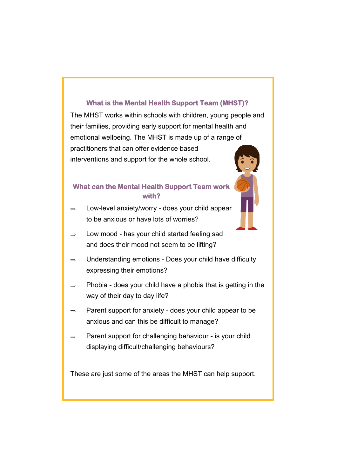#### **What is the Mental Health Support Team (MHST)?**

The MHST works within schools with children, young people and their families, providing early support for mental health and emotional wellbeing. The MHST is made up of a range of practitioners that can offer evidence based interventions and support for the whole school.

#### **What can the Mental Health Support Team work with?**

- $\Rightarrow$  Low-level anxiety/worry does your child appear to be anxious or have lots of worries?
- $\Rightarrow$  Low mood has your child started feeling sad and does their mood not seem to be lifting?
- $\Rightarrow$  Understanding emotions Does your child have difficulty expressing their emotions?
- $\Rightarrow$  Phobia does your child have a phobia that is getting in the way of their day to day life?
- $\Rightarrow$  Parent support for anxiety does your child appear to be anxious and can this be difficult to manage?
- $\Rightarrow$  Parent support for challenging behaviour is your child displaying difficult/challenging behaviours?

These are just some of the areas the MHST can help support.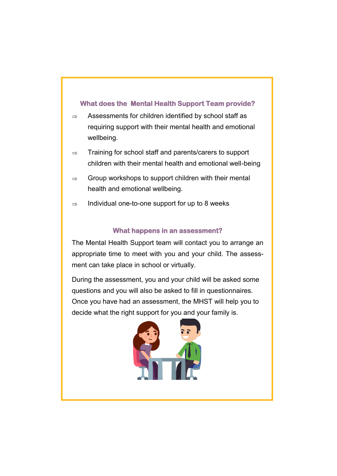#### **What does the Mental Health Support Team provide?**

- $\Rightarrow$  Assessments for children identified by school staff as requiring support with their mental health and emotional wellbeing.
- $\Rightarrow$  Training for school staff and parents/carers to support children with their mental health and emotional well-being
- $\Rightarrow$  Group workshops to support children with their mental health and emotional wellbeing.
- $\Rightarrow$  Individual one-to-one support for up to 8 weeks

#### **What happens in an assessment?**

The Mental Health Support team will contact you to arrange an appropriate time to meet with you and your child. The assessment can take place in school or virtually.

During the assessment, you and your child will be asked some questions and you will also be asked to fill in questionnaires. Once you have had an assessment, the MHST will help you to decide what the right support for you and your family is.